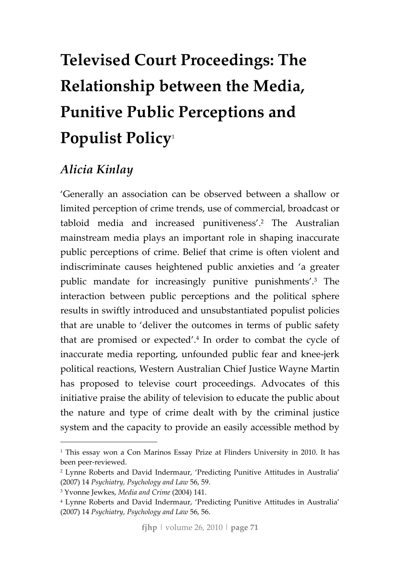# **Televised Court Proceedings: The Relationship between the Media, Punitive Public Perceptions and Populist Policy**<sup>1</sup>

## *Alicia Kinlay*

'Generally an association can be observed between a shallow or limited perception of crime trends, use of commercial, broadcast or tabloid media and increased punitiveness'.2 The Australian mainstream media plays an important role in shaping inaccurate public perceptions of crime. Belief that crime is often violent and indiscriminate causes heightened public anxieties and 'a greater public mandate for increasingly punitive punishments'.3 The interaction between public perceptions and the political sphere results in swiftly introduced and unsubstantiated populist policies that are unable to 'deliver the outcomes in terms of public safety that are promised or expected'.4 In order to combat the cycle of inaccurate media reporting, unfounded public fear and knee‐jerk political reactions, Western Australian Chief Justice Wayne Martin has proposed to televise court proceedings. Advocates of this initiative praise the ability of television to educate the public about the nature and type of crime dealt with by the criminal justice system and the capacity to provide an easily accessible method by

<sup>&</sup>lt;sup>1</sup> This essay won a Con Marinos Essay Prize at Flinders University in 2010. It has been peer‐reviewed.

<sup>2</sup> Lynne Roberts and David Indermaur, 'Predicting Punitive Attitudes in Australia' (2007) 14 *Psychiatry, Psychology and Law* 56, 59.

<sup>3</sup> Yvonne Jewkes, *Media and Crime* (2004) 141.

<sup>4</sup> Lynne Roberts and David Indermaur, 'Predicting Punitive Attitudes in Australia' (2007) 14 *Psychiatry, Psychology and Law* 56, 56.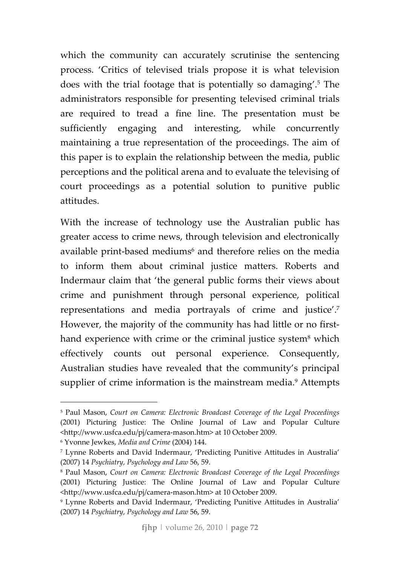which the community can accurately scrutinise the sentencing process. 'Critics of televised trials propose it is what television does with the trial footage that is potentially so damaging'.5 The administrators responsible for presenting televised criminal trials are required to tread a fine line. The presentation must be sufficiently engaging and interesting, while concurrently maintaining a true representation of the proceedings. The aim of this paper is to explain the relationship between the media, public perceptions and the political arena and to evaluate the televising of court proceedings as a potential solution to punitive public attitudes.

With the increase of technology use the Australian public has greater access to crime news, through television and electronically available print-based mediums<sup>6</sup> and therefore relies on the media to inform them about criminal justice matters. Roberts and Indermaur claim that 'the general public forms their views about crime and punishment through personal experience, political representations and media portrayals of crime and justice'.7 However, the majority of the community has had little or no firsthand experience with crime or the criminal justice system<sup>8</sup> which effectively counts out personal experience. Consequently, Australian studies have revealed that the community's principal supplier of crime information is the mainstream media.<sup>9</sup> Attempts

<sup>5</sup> Paul Mason, *Court on Camera: Electronic Broadcast Coverage of the Legal Proceedings* (2001) Picturing Justice: The Online Journal of Law and Popular Culture <http://www.usfca.edu/pj/camera‐mason.htm> at 10 October 2009.

<sup>6</sup> Yvonne Jewkes, *Media and Crime* (2004) 144.

<sup>7</sup> Lynne Roberts and David Indermaur, 'Predicting Punitive Attitudes in Australia' (2007) 14 *Psychiatry, Psychology and Law* 56, 59.

<sup>8</sup> Paul Mason, *Court on Camera: Electronic Broadcast Coverage of the Legal Proceedings* (2001) Picturing Justice: The Online Journal of Law and Popular Culture <http://www.usfca.edu/pj/camera‐mason.htm> at 10 October 2009.

<sup>9</sup> Lynne Roberts and David Indermaur, 'Predicting Punitive Attitudes in Australia' (2007) 14 *Psychiatry, Psychology and Law* 56, 59.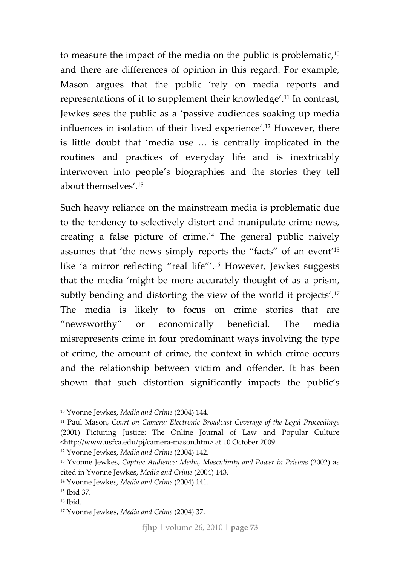to measure the impact of the media on the public is problematic,<sup>10</sup> and there are differences of opinion in this regard. For example, Mason argues that the public 'rely on media reports and representations of it to supplement their knowledge'.11 In contrast, Jewkes sees the public as a 'passive audiences soaking up media influences in isolation of their lived experience'.12 However, there is little doubt that 'media use … is centrally implicated in the routines and practices of everyday life and is inextricably interwoven into people's biographies and the stories they tell about themselves'.13

Such heavy reliance on the mainstream media is problematic due to the tendency to selectively distort and manipulate crime news, creating a false picture of crime.14 The general public naively assumes that 'the news simply reports the "facts" of an event'15 like 'a mirror reflecting "real life"'.16 However, Jewkes suggests that the media 'might be more accurately thought of as a prism, subtly bending and distorting the view of the world it projects'.17 The media is likely to focus on crime stories that are "newsworthy" or economically beneficial. The media misrepresents crime in four predominant ways involving the type of crime, the amount of crime, the context in which crime occurs and the relationship between victim and offender. It has been shown that such distortion significantly impacts the public's

<sup>12</sup> Yvonne Jewkes, *Media and Crime* (2004) 142.

<sup>10</sup> Yvonne Jewkes, *Media and Crime* (2004) 144.

<sup>11</sup> Paul Mason, *Court on Camera: Electronic Broadcast Coverage of the Legal Proceedings* (2001) Picturing Justice: The Online Journal of Law and Popular Culture <http://www.usfca.edu/pj/camera‐mason.htm> at 10 October 2009.

<sup>13</sup> Yvonne Jewkes, *Captive Audience: Media, Masculinity and Power in Prisons* (2002) as cited in Yvonne Jewkes, *Media and Crime* (2004) 143.

<sup>14</sup> Yvonne Jewkes, *Media and Crime* (2004) 141.

<sup>15</sup> Ibid 37.

<sup>16</sup> Ibid.

<sup>17</sup> Yvonne Jewkes, *Media and Crime* (2004) 37.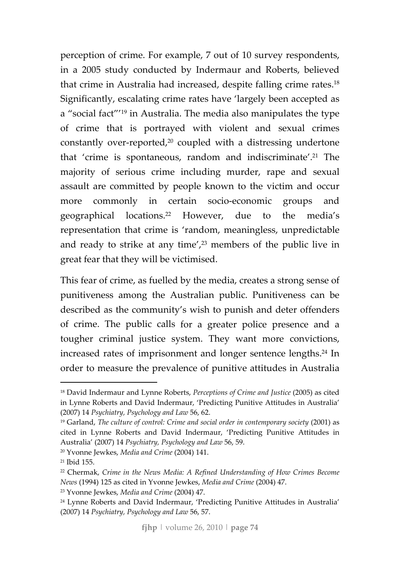perception of crime. For example, 7 out of 10 survey respondents, in a 2005 study conducted by Indermaur and Roberts, believed that crime in Australia had increased, despite falling crime rates.18 Significantly, escalating crime rates have 'largely been accepted as a "social fact"'19 in Australia. The media also manipulates the type of crime that is portrayed with violent and sexual crimes constantly over-reported,<sup>20</sup> coupled with a distressing undertone that 'crime is spontaneous, random and indiscriminate'.21 The majority of serious crime including murder, rape and sexual assault are committed by people known to the victim and occur more commonly in certain socio-economic groups and geographical locations.22 However, due to the media's representation that crime is 'random, meaningless, unpredictable and ready to strike at any time',<sup>23</sup> members of the public live in great fear that they will be victimised.

This fear of crime, as fuelled by the media, creates a strong sense of punitiveness among the Australian public. Punitiveness can be described as the community's wish to punish and deter offenders of crime. The public calls for a greater police presence and a tougher criminal justice system. They want more convictions, increased rates of imprisonment and longer sentence lengths.<sup>24</sup> In order to measure the prevalence of punitive attitudes in Australia

<sup>18</sup> David Indermaur and Lynne Roberts, *Perceptions of Crime and Justice* (2005) as cited in Lynne Roberts and David Indermaur, 'Predicting Punitive Attitudes in Australia' (2007) 14 *Psychiatry, Psychology and Law* 56, 62.

<sup>19</sup> Garland, *The culture of control: Crime and social order in contemporary society* (2001) as cited in Lynne Roberts and David Indermaur, 'Predicting Punitive Attitudes in Australia' (2007) 14 *Psychiatry, Psychology and Law* 56, 59.

<sup>20</sup> Yvonne Jewkes, *Media and Crime* (2004) 141.

<sup>21</sup> Ibid 155.

<sup>22</sup> Chermak, *Crime in the News Media: A Refined Understanding of How Crimes Become News* (1994) 125 as cited in Yvonne Jewkes, *Media and Crime* (2004) 47.

<sup>23</sup> Yvonne Jewkes, *Media and Crime* (2004) 47.

<sup>24</sup> Lynne Roberts and David Indermaur, 'Predicting Punitive Attitudes in Australia' (2007) 14 *Psychiatry, Psychology and Law* 56, 57.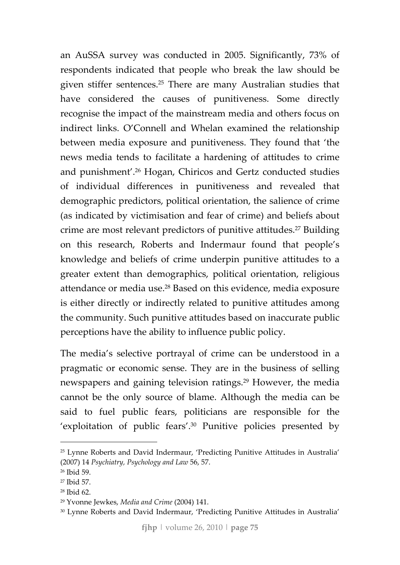an AuSSA survey was conducted in 2005. Significantly, 73% of respondents indicated that people who break the law should be given stiffer sentences.25 There are many Australian studies that have considered the causes of punitiveness. Some directly recognise the impact of the mainstream media and others focus on indirect links. O'Connell and Whelan examined the relationship between media exposure and punitiveness. They found that 'the news media tends to facilitate a hardening of attitudes to crime and punishment'.26 Hogan, Chiricos and Gertz conducted studies of individual differences in punitiveness and revealed that demographic predictors, political orientation, the salience of crime (as indicated by victimisation and fear of crime) and beliefs about crime are most relevant predictors of punitive attitudes.<sup>27</sup> Building on this research, Roberts and Indermaur found that people's knowledge and beliefs of crime underpin punitive attitudes to a greater extent than demographics, political orientation, religious attendance or media use.28 Based on this evidence, media exposure is either directly or indirectly related to punitive attitudes among the community. Such punitive attitudes based on inaccurate public perceptions have the ability to influence public policy.

The media's selective portrayal of crime can be understood in a pragmatic or economic sense. They are in the business of selling newspapers and gaining television ratings.29 However, the media cannot be the only source of blame. Although the media can be said to fuel public fears, politicians are responsible for the 'exploitation of public fears'.30 Punitive policies presented by

<sup>25</sup> Lynne Roberts and David Indermaur, 'Predicting Punitive Attitudes in Australia' (2007) 14 *Psychiatry, Psychology and Law* 56, 57.

<sup>26</sup> Ibid 59.

<sup>27</sup> Ibid 57.

<sup>28</sup> Ibid 62.

<sup>29</sup> Yvonne Jewkes, *Media and Crime* (2004) 141.

<sup>&</sup>lt;sup>30</sup> Lynne Roberts and David Indermaur, 'Predicting Punitive Attitudes in Australia'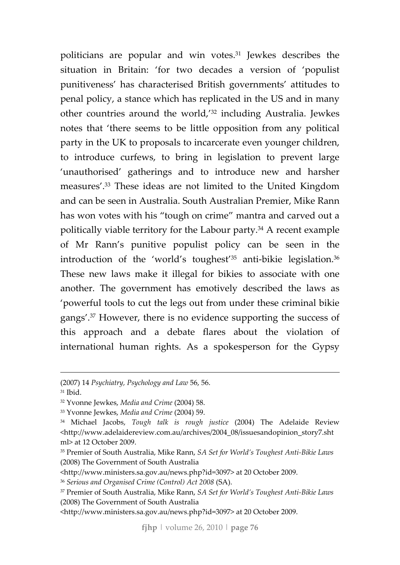politicians are popular and win votes.31 Jewkes describes the situation in Britain: 'for two decades a version of 'populist punitiveness' has characterised British governments' attitudes to penal policy, a stance which has replicated in the US and in many other countries around the world,'32 including Australia. Jewkes notes that 'there seems to be little opposition from any political party in the UK to proposals to incarcerate even younger children, to introduce curfews, to bring in legislation to prevent large 'unauthorised' gatherings and to introduce new and harsher measures'.33 These ideas are not limited to the United Kingdom and can be seen in Australia. South Australian Premier, Mike Rann has won votes with his "tough on crime" mantra and carved out a politically viable territory for the Labour party.34 A recent example of Mr Rann's punitive populist policy can be seen in the introduction of the 'world's toughest'<sup>35</sup> anti-bikie legislation.<sup>36</sup> These new laws make it illegal for bikies to associate with one another. The government has emotively described the laws as 'powerful tools to cut the legs out from under these criminal bikie gangs'.37 However, there is no evidence supporting the success of this approach and a debate flares about the violation of international human rights. As a spokesperson for the Gypsy

<sup>33</sup> Yvonne Jewkes, *Media and Crime* (2004) 59.

<u> Andreas Andreas Andreas Andreas Andreas Andreas Andreas Andreas Andreas Andreas Andreas Andreas Andreas Andr</u>

<sup>(2007)</sup> 14 *Psychiatry, Psychology and Law* 56, 56.

<sup>31</sup> Ibid.

<sup>32</sup> Yvonne Jewkes, *Media and Crime* (2004) 58.

<sup>34</sup> Michael Jacobs, *Tough talk is rough justice* (2004) The Adelaide Review <http://www.adelaidereview.com.au/archives/2004\_08/issuesandopinion\_story7.sht ml> at 12 October 2009.

<sup>35</sup> Premier of South Australia, Mike Rann, *SA Set for World's Toughest Anti‐Bikie Laws* (2008) The Government of South Australia

<sup>&</sup>lt;http://www.ministers.sa.gov.au/news.php?id=3097> at 20 October 2009.

<sup>36</sup> *Serious and Organised Crime (Control) Act 2008* (SA).

<sup>37</sup> Premier of South Australia, Mike Rann, *SA Set for World's Toughest Anti‐Bikie Laws* (2008) The Government of South Australia

<sup>&</sup>lt;http://www.ministers.sa.gov.au/news.php?id=3097> at 20 October 2009.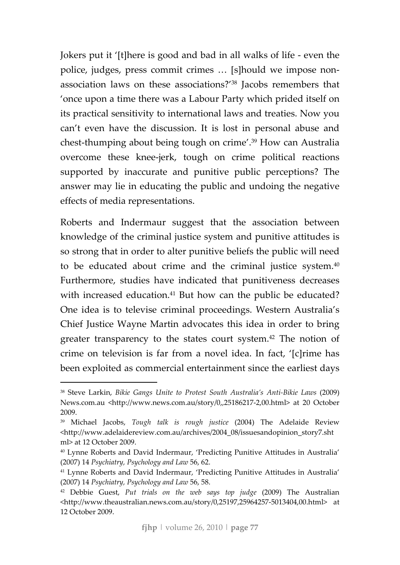Jokers put it '[t]here is good and bad in all walks of life ‐ even the police, judges, press commit crimes … [s]hould we impose non‐ association laws on these associations?'38 Jacobs remembers that 'once upon a time there was a Labour Party which prided itself on its practical sensitivity to international laws and treaties. Now you can't even have the discussion. It is lost in personal abuse and chest‐thumping about being tough on crime'.39 How can Australia overcome these knee‐jerk, tough on crime political reactions supported by inaccurate and punitive public perceptions? The answer may lie in educating the public and undoing the negative effects of media representations.

Roberts and Indermaur suggest that the association between knowledge of the criminal justice system and punitive attitudes is so strong that in order to alter punitive beliefs the public will need to be educated about crime and the criminal justice system.40 Furthermore, studies have indicated that punitiveness decreases with increased education.<sup>41</sup> But how can the public be educated? One idea is to televise criminal proceedings. Western Australia's Chief Justice Wayne Martin advocates this idea in order to bring greater transparency to the states court system.42 The notion of crime on television is far from a novel idea. In fact, '[c]rime has been exploited as commercial entertainment since the earliest days

<sup>38</sup> Steve Larkin, *Bikie Gangs Unite to Protest South Australia's Anti‐Bikie Laws* (2009) News.com.au <http://www.news.com.au/story/0,,25186217‐2,00.html> at 20 October 2009.

<sup>39</sup> Michael Jacobs, *Tough talk is rough justice* (2004) The Adelaide Review <http://www.adelaidereview.com.au/archives/2004\_08/issuesandopinion\_story7.sht ml> at 12 October 2009.

<sup>40</sup> Lynne Roberts and David Indermaur, 'Predicting Punitive Attitudes in Australia' (2007) 14 *Psychiatry, Psychology and Law* 56, 62.

<sup>41</sup> Lynne Roberts and David Indermaur, 'Predicting Punitive Attitudes in Australia' (2007) 14 *Psychiatry, Psychology and Law* 56, 58.

<sup>42</sup> Debbie Guest, *Put trials on the web says top judge* (2009) The Australian <http://www.theaustralian.news.com.au/story/0,25197,25964257‐5013404,00.html> at 12 October 2009.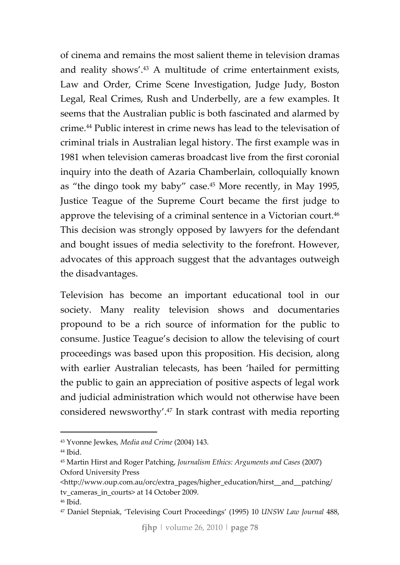of cinema and remains the most salient theme in television dramas and reality shows'.43 A multitude of crime entertainment exists, Law and Order, Crime Scene Investigation, Judge Judy, Boston Legal, Real Crimes, Rush and Underbelly, are a few examples. It seems that the Australian public is both fascinated and alarmed by crime.44 Public interest in crime news has lead to the televisation of criminal trials in Australian legal history. The first example was in 1981 when television cameras broadcast live from the first coronial inquiry into the death of Azaria Chamberlain, colloquially known as "the dingo took my baby" case.45 More recently, in May 1995, Justice Teague of the Supreme Court became the first judge to approve the televising of a criminal sentence in a Victorian court.46 This decision was strongly opposed by lawyers for the defendant and bought issues of media selectivity to the forefront. However, advocates of this approach suggest that the advantages outweigh the disadvantages.

Television has become an important educational tool in our society. Many reality television shows and documentaries propound to be a rich source of information for the public to consume. Justice Teague's decision to allow the televising of court proceedings was based upon this proposition. His decision, along with earlier Australian telecasts, has been 'hailed for permitting the public to gain an appreciation of positive aspects of legal work and judicial administration which would not otherwise have been considered newsworthy'.47 In stark contrast with media reporting

<sup>43</sup> Yvonne Jewkes, *Media and Crime* (2004) 143.

<sup>44</sup> Ibid.

<sup>45</sup> Martin Hirst and Roger Patching, *Journalism Ethics: Arguments and Cases* (2007) Oxford University Press

<sup>&</sup>lt;http://www.oup.com.au/orc/extra\_pages/higher\_education/hirst\_\_and\_\_patching/ tv cameras in courts> at 14 October 2009.

<sup>46</sup> Ibid.

<sup>47</sup> Daniel Stepniak, 'Televising Court Proceedings' (1995) 10 *UNSW Law Journal* 488,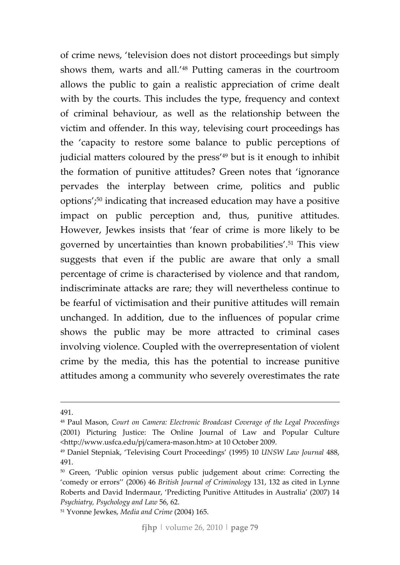of crime news, 'television does not distort proceedings but simply shows them, warts and all.'48 Putting cameras in the courtroom allows the public to gain a realistic appreciation of crime dealt with by the courts. This includes the type, frequency and context of criminal behaviour, as well as the relationship between the victim and offender. In this way, televising court proceedings has the 'capacity to restore some balance to public perceptions of judicial matters coloured by the press<sup>'49</sup> but is it enough to inhibit the formation of punitive attitudes? Green notes that 'ignorance pervades the interplay between crime, politics and public options';50 indicating that increased education may have a positive impact on public perception and, thus, punitive attitudes. However, Jewkes insists that 'fear of crime is more likely to be governed by uncertainties than known probabilities'.51 This view suggests that even if the public are aware that only a small percentage of crime is characterised by violence and that random, indiscriminate attacks are rare; they will nevertheless continue to be fearful of victimisation and their punitive attitudes will remain unchanged. In addition, due to the influences of popular crime shows the public may be more attracted to criminal cases involving violence. Coupled with the overrepresentation of violent crime by the media, this has the potential to increase punitive attitudes among a community who severely overestimates the rate

<u> Andreas Andreas Andreas Andreas Andreas Andreas Andreas Andreas Andreas Andreas Andreas Andreas Andreas Andr</u>

<sup>491.</sup>

<sup>48</sup> Paul Mason, *Court on Camera: Electronic Broadcast Coverage of the Legal Proceedings* (2001) Picturing Justice: The Online Journal of Law and Popular Culture <http://www.usfca.edu/pj/camera‐mason.htm> at 10 October 2009.

<sup>49</sup> Daniel Stepniak, 'Televising Court Proceedings' (1995) 10 *UNSW Law Journal* 488, 491.

<sup>50</sup> Green, 'Public opinion versus public judgement about crime: Correcting the 'comedy or errors'' (2006) 46 *British Journal of Criminology* 131, 132 as cited in Lynne Roberts and David Indermaur, 'Predicting Punitive Attitudes in Australia' (2007) 14 *Psychiatry, Psychology and Law* 56, 62.

<sup>51</sup> Yvonne Jewkes, *Media and Crime* (2004) 165.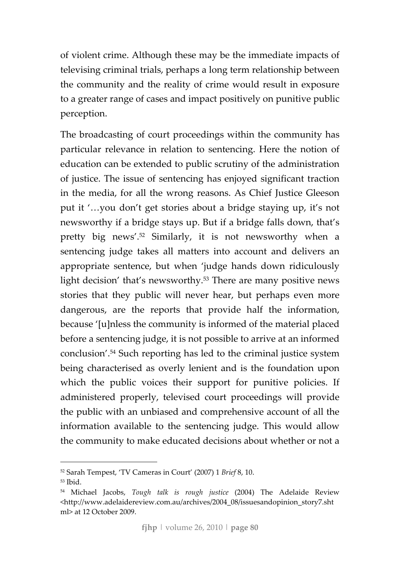of violent crime. Although these may be the immediate impacts of televising criminal trials, perhaps a long term relationship between the community and the reality of crime would result in exposure to a greater range of cases and impact positively on punitive public perception.

The broadcasting of court proceedings within the community has particular relevance in relation to sentencing. Here the notion of education can be extended to public scrutiny of the administration of justice. The issue of sentencing has enjoyed significant traction in the media, for all the wrong reasons. As Chief Justice Gleeson put it '…you don't get stories about a bridge staying up, it's not newsworthy if a bridge stays up. But if a bridge falls down, that's pretty big news'.52 Similarly, it is not newsworthy when a sentencing judge takes all matters into account and delivers an appropriate sentence, but when 'judge hands down ridiculously light decision' that's newsworthy.<sup>53</sup> There are many positive news stories that they public will never hear, but perhaps even more dangerous, are the reports that provide half the information, because '[u]nless the community is informed of the material placed before a sentencing judge, it is not possible to arrive at an informed conclusion'.54 Such reporting has led to the criminal justice system being characterised as overly lenient and is the foundation upon which the public voices their support for punitive policies. If administered properly, televised court proceedings will provide the public with an unbiased and comprehensive account of all the information available to the sentencing judge. This would allow the community to make educated decisions about whether or not a

<u> 1989 - Johann Barbara, martxa al</u>

<sup>52</sup> Sarah Tempest, 'TV Cameras in Court' (2007) 1 *Brief* 8, 10.

<sup>53</sup> Ibid.

<sup>54</sup> Michael Jacobs, *Tough talk is rough justice* (2004) The Adelaide Review <http://www.adelaidereview.com.au/archives/2004\_08/issuesandopinion\_story7.sht ml> at 12 October 2009.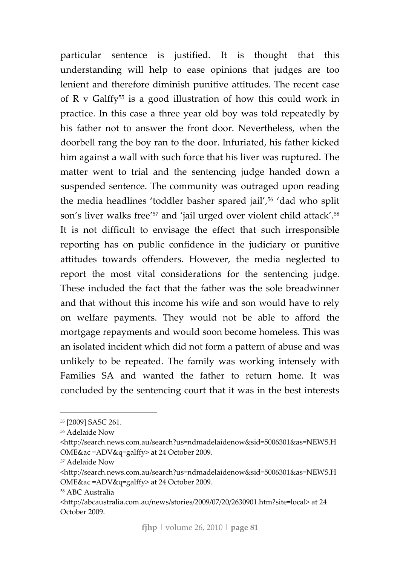particular sentence is justified. It is thought that this understanding will help to ease opinions that judges are too lenient and therefore diminish punitive attitudes. The recent case of R v Galffy55 is a good illustration of how this could work in practice. In this case a three year old boy was told repeatedly by his father not to answer the front door. Nevertheless, when the doorbell rang the boy ran to the door. Infuriated, his father kicked him against a wall with such force that his liver was ruptured. The matter went to trial and the sentencing judge handed down a suspended sentence. The community was outraged upon reading the media headlines 'toddler basher spared jail',<sup>56</sup> 'dad who split son's liver walks free<sup>'57</sup> and 'jail urged over violent child attack'.<sup>58</sup> It is not difficult to envisage the effect that such irresponsible reporting has on public confidence in the judiciary or punitive attitudes towards offenders. However, the media neglected to report the most vital considerations for the sentencing judge. These included the fact that the father was the sole breadwinner and that without this income his wife and son would have to rely on welfare payments. They would not be able to afford the mortgage repayments and would soon become homeless. This was an isolated incident which did not form a pattern of abuse and was unlikely to be repeated. The family was working intensely with Families SA and wanted the father to return home. It was concluded by the sentencing court that it was in the best interests

<sup>55</sup> [2009] SASC 261.

<sup>56</sup> Adelaide Now

<sup>&</sup>lt;http://search.news.com.au/search?us=ndmadelaidenow&sid=5006301&as=NEWS.H OME&ac =ADV&q=galffy> at 24 October 2009.

<sup>57</sup> Adelaide Now

<sup>&</sup>lt;http://search.news.com.au/search?us=ndmadelaidenow&sid=5006301&as=NEWS.H OME&ac =ADV&q=galffy> at 24 October 2009.

<sup>58</sup> ABC Australia

<sup>&</sup>lt;http://abcaustralia.com.au/news/stories/2009/07/20/2630901.htm?site=local> at 24 October 2009.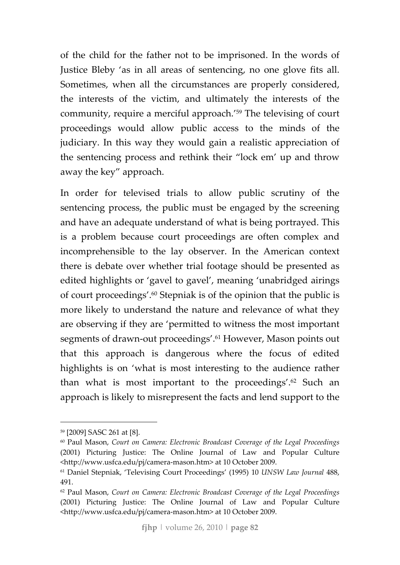of the child for the father not to be imprisoned. In the words of Justice Bleby 'as in all areas of sentencing, no one glove fits all. Sometimes, when all the circumstances are properly considered, the interests of the victim, and ultimately the interests of the community, require a merciful approach.'59 The televising of court proceedings would allow public access to the minds of the judiciary. In this way they would gain a realistic appreciation of the sentencing process and rethink their "lock em' up and throw away the key" approach.

In order for televised trials to allow public scrutiny of the sentencing process, the public must be engaged by the screening and have an adequate understand of what is being portrayed. This is a problem because court proceedings are often complex and incomprehensible to the lay observer. In the American context there is debate over whether trial footage should be presented as edited highlights or 'gavel to gavel', meaning 'unabridged airings of court proceedings'.60 Stepniak is of the opinion that the public is more likely to understand the nature and relevance of what they are observing if they are 'permitted to witness the most important segments of drawn-out proceedings'.<sup>61</sup> However, Mason points out that this approach is dangerous where the focus of edited highlights is on 'what is most interesting to the audience rather than what is most important to the proceedings'.62 Such an approach is likely to misrepresent the facts and lend support to the

<sup>59</sup> [2009] SASC 261 at [8].

<sup>60</sup> Paul Mason, *Court on Camera: Electronic Broadcast Coverage of the Legal Proceedings* (2001) Picturing Justice: The Online Journal of Law and Popular Culture <http://www.usfca.edu/pj/camera‐mason.htm> at 10 October 2009.

<sup>61</sup> Daniel Stepniak, 'Televising Court Proceedings' (1995) 10 *UNSW Law Journal* 488, 491.

<sup>62</sup> Paul Mason, *Court on Camera: Electronic Broadcast Coverage of the Legal Proceedings* (2001) Picturing Justice: The Online Journal of Law and Popular Culture <http://www.usfca.edu/pj/camera‐mason.htm> at 10 October 2009.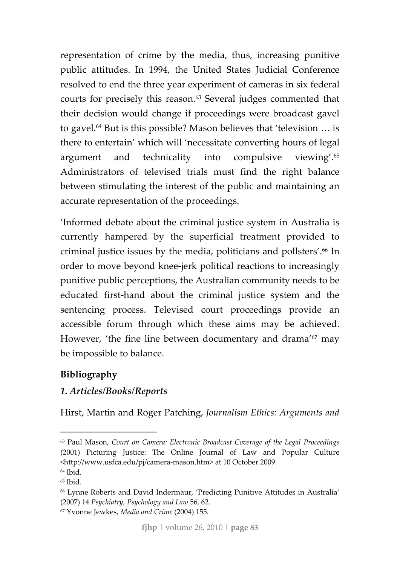representation of crime by the media, thus, increasing punitive public attitudes. In 1994, the United States Judicial Conference resolved to end the three year experiment of cameras in six federal courts for precisely this reason.63 Several judges commented that their decision would change if proceedings were broadcast gavel to gavel.64 But is this possible? Mason believes that 'television … is there to entertain' which will 'necessitate converting hours of legal argument and technicality into compulsive viewing'.65 Administrators of televised trials must find the right balance between stimulating the interest of the public and maintaining an accurate representation of the proceedings.

'Informed debate about the criminal justice system in Australia is currently hampered by the superficial treatment provided to criminal justice issues by the media, politicians and pollsters'.66 In order to move beyond knee‐jerk political reactions to increasingly punitive public perceptions, the Australian community needs to be educated first‐hand about the criminal justice system and the sentencing process. Televised court proceedings provide an accessible forum through which these aims may be achieved. However, 'the fine line between documentary and drama'67 may be impossible to balance.

### **Bibliography**

### *1. Articles/Books/Reports*

Hirst, Martin and Roger Patching, *Journalism Ethics: Arguments and*

<sup>63</sup> Paul Mason, *Court on Camera: Electronic Broadcast Coverage of the Legal Proceedings* (2001) Picturing Justice: The Online Journal of Law and Popular Culture <http://www.usfca.edu/pj/camera‐mason.htm> at 10 October 2009. <sup>64</sup> Ibid.

 $65$  Ibid.

<sup>66</sup> Lynne Roberts and David Indermaur, 'Predicting Punitive Attitudes in Australia' (2007) 14 *Psychiatry, Psychology and Law* 56, 62.

<sup>67</sup> Yvonne Jewkes, *Media and Crime* (2004) 155.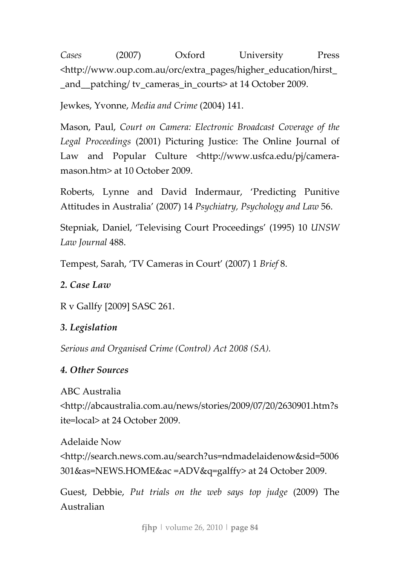*Cases* (2007) Oxford University Press <http://www.oup.com.au/orc/extra\_pages/higher\_education/hirst\_ and patching/ tv cameras in courts> at 14 October 2009.

Jewkes, Yvonne, *Media and Crime* (2004) 141.

Mason, Paul, *Court on Camera: Electronic Broadcast Coverage of the Legal Proceedings* (2001) Picturing Justice: The Online Journal of Law and Popular Culture <http://www.usfca.edu/pj/cameramason.htm> at 10 October 2009.

Roberts, Lynne and David Indermaur, 'Predicting Punitive Attitudes in Australia' (2007) 14 *Psychiatry, Psychology and Law* 56.

Stepniak, Daniel, 'Televising Court Proceedings' (1995) 10 *UNSW Law Journal* 488.

Tempest, Sarah, 'TV Cameras in Court' (2007) 1 *Brief* 8.

*2. Case Law*

R v Gallfy [2009] SASC 261.

### *3. Legislation*

*Serious and Organised Crime (Control) Act 2008 (SA).*

### *4. Other Sources*

ABC Australia <http://abcaustralia.com.au/news/stories/2009/07/20/2630901.htm?s ite=local> at 24 October 2009.

Adelaide Now <http://search.news.com.au/search?us=ndmadelaidenow&sid=5006 301&as=NEWS.HOME&ac =ADV&q=galffy> at 24 October 2009.

Guest, Debbie, *Put trials on the web says top judge* (2009) The Australian